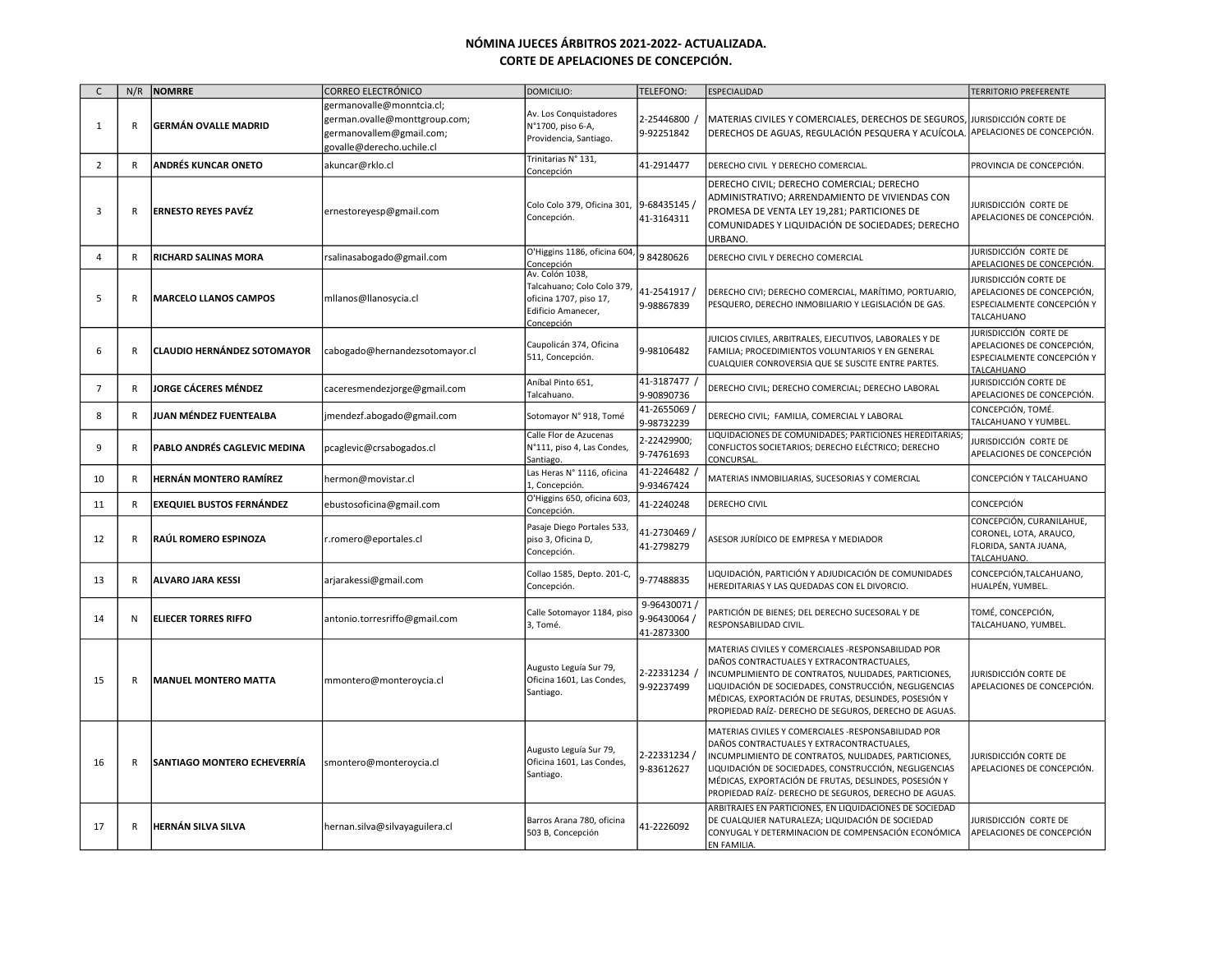| $\mathsf{C}$   | N/R          | NOMRRE                              | CORREO ELECTRÓNICO                                                                                                  | DOMICILIO:                                                                                                  | TELEFONO:                               | ESPECIALIDAD                                                                                                                                                                                                                                                                                                                        | <b>TERRITORIO PREFERENTE</b>                                                                    |
|----------------|--------------|-------------------------------------|---------------------------------------------------------------------------------------------------------------------|-------------------------------------------------------------------------------------------------------------|-----------------------------------------|-------------------------------------------------------------------------------------------------------------------------------------------------------------------------------------------------------------------------------------------------------------------------------------------------------------------------------------|-------------------------------------------------------------------------------------------------|
| $\mathbf{1}$   | $\mathsf{R}$ | <b>GERMÁN OVALLE MADRID</b>         | germanovalle@monntcia.cl;<br>german.ovalle@monttgroup.com;<br>germanovallem@gmail.com;<br>govalle@derecho.uchile.cl | Av. Los Conquistadores<br>N°1700, piso 6-A,<br>Providencia, Santiago.                                       | 2-25446800<br>9-92251842                | MATERIAS CIVILES Y COMERCIALES, DERECHOS DE SEGUROS, JURISDICCIÓN CORTE DE<br>DERECHOS DE AGUAS, REGULACIÓN PESQUERA Y ACUÍCOLA. APELACIONES DE CONCEPCIÓN.                                                                                                                                                                         |                                                                                                 |
| $\overline{2}$ | R            | ANDRÉS KUNCAR ONETO                 | akuncar@rklo.cl                                                                                                     | Trinitarias N° 131,<br>Concepción                                                                           | 41-2914477                              | DERECHO CIVIL Y DERECHO COMERCIAL.                                                                                                                                                                                                                                                                                                  | PROVINCIA DE CONCEPCIÓN.                                                                        |
| 3              | $\mathsf{R}$ | <b>ERNESTO REYES PAVÉZ</b>          | ernestoreyesp@gmail.com                                                                                             | Colo Colo 379, Oficina 301,<br>Concepción.                                                                  | 9-68435145 /<br>41-3164311              | DERECHO CIVIL; DERECHO COMERCIAL; DERECHO<br>ADMINISTRATIVO; ARRENDAMIENTO DE VIVIENDAS CON<br>PROMESA DE VENTA LEY 19,281; PARTICIONES DE<br>COMUNIDADES Y LIQUIDACIÓN DE SOCIEDADES; DERECHO<br>URBANO.                                                                                                                           | Jurisdicción corte de<br>APELACIONES DE CONCEPCIÓN.                                             |
| $\overline{a}$ | R            | <b>RICHARD SALINAS MORA</b>         | rsalinasabogado@gmail.com                                                                                           | O'Higgins 1186, oficina 604,<br>Concepción                                                                  | 984280626                               | DERECHO CIVIL Y DERECHO COMERCIAL                                                                                                                                                                                                                                                                                                   | JURISDICCIÓN CORTE DE<br>APELACIONES DE CONCEPCIÓN.                                             |
| 5              | R            | <b>MARCELO LLANOS CAMPOS</b>        | mllanos@llanosycia.cl                                                                                               | Av. Colón 1038,<br>Talcahuano; Colo Colo 379,<br>oficina 1707, piso 17,<br>Edificio Amanecer,<br>Concepción | 41-2541917 /<br>9-98867839              | DERECHO CIVI; DERECHO COMERCIAL, MARÍTIMO, PORTUARIO,<br>PESQUERO, DERECHO INMOBILIARIO Y LEGISLACIÓN DE GAS.                                                                                                                                                                                                                       | JURISDICCIÓN CORTE DE<br>APELACIONES DE CONCEPCIÓN,<br>ESPECIALMENTE CONCEPCIÓN Y<br>TALCAHUANO |
| 6              | R            | CLAUDIO HERNÁNDEZ SOTOMAYOR         | cabogado@hernandezsotomayor.cl                                                                                      | Caupolicán 374, Oficina<br>511, Concepción.                                                                 | 9-98106482                              | JUICIOS CIVILES, ARBITRALES, EJECUTIVOS, LABORALES Y DE<br>FAMILIA; PROCEDIMIENTOS VOLUNTARIOS Y EN GENERAL<br>CUALQUIER CONROVERSIA QUE SE SUSCITE ENTRE PARTES.                                                                                                                                                                   | JURISDICCIÓN CORTE DE<br>APELACIONES DE CONCEPCIÓN,<br>ESPECIALMENTE CONCEPCIÓN Y<br>TALCAHUANO |
| $\overline{7}$ | R            | <b>JORGE CÁCERES MÉNDEZ</b>         | caceresmendezjorge@gmail.com                                                                                        | Aníbal Pinto 651,<br>Talcahuano.                                                                            | 41-3187477<br>9-90890736                | DERECHO CIVIL; DERECHO COMERCIAL; DERECHO LABORAL                                                                                                                                                                                                                                                                                   | JURISDICCIÓN CORTE DE<br>APELACIONES DE CONCEPCIÓN.                                             |
| 8              | $\mathsf{R}$ | JUAN MÉNDEZ FUENTEALBA              | jmendezf.abogado@gmail.com                                                                                          | Sotomayor N° 918, Tomé                                                                                      | 41-2655069 /<br>9-98732239              | DERECHO CIVIL; FAMILIA, COMERCIAL Y LABORAL                                                                                                                                                                                                                                                                                         | CONCEPCIÓN, TOMÉ.<br>TALCAHUANO Y YUMBEL.                                                       |
| 9              | $\mathsf{R}$ | <b>PABLO ANDRÉS CAGLEVIC MEDINA</b> | pcaglevic@crsabogados.cl                                                                                            | Calle Flor de Azucenas<br>N°111, piso 4, Las Condes,<br>Santiago.                                           | 2-22429900;<br>9-74761693               | LIQUIDACIONES DE COMUNIDADES; PARTICIONES HEREDITARIAS;<br>CONFLICTOS SOCIETARIOS; DERECHO ELÉCTRICO; DERECHO<br>CONCURSAL.                                                                                                                                                                                                         | jurisdicción corte de<br>APELACIONES DE CONCEPCIÓN                                              |
| 10             | R            | <b>HERNÁN MONTERO RAMÍREZ</b>       | hermon@movistar.cl                                                                                                  | Las Heras N° 1116, oficina<br>1, Concepción.                                                                | 41-2246482<br>9-93467424                | MATERIAS INMOBILIARIAS, SUCESORIAS Y COMERCIAL                                                                                                                                                                                                                                                                                      | CONCEPCIÓN Y TALCAHUANO                                                                         |
| 11             | R            | <b>EXEQUIEL BUSTOS FERNÁNDEZ</b>    | ebustosoficina@gmail.com                                                                                            | O'Higgins 650, oficina 603,<br>Concepción                                                                   | 41-2240248                              | DERECHO CIVIL                                                                                                                                                                                                                                                                                                                       | CONCEPCIÓN                                                                                      |
| 12             | $\mathsf{R}$ | RAÚL ROMERO ESPINOZA                | :romero@eportales.cl                                                                                                | Pasaje Diego Portales 533,<br>piso 3, Oficina D,<br>Concepción.                                             | 41-2730469 /<br>41-2798279              | ASESOR JURÍDICO DE EMPRESA Y MEDIADOR                                                                                                                                                                                                                                                                                               | CONCEPCIÓN, CURANILAHUE,<br>CORONEL, LOTA, ARAUCO,<br>FLORIDA, SANTA JUANA,<br>TALCAHUANO.      |
| 13             | R            | <b>ALVARO JARA KESSI</b>            | arjarakessi@gmail.com                                                                                               | Collao 1585, Depto. 201-C,<br>Concepción.                                                                   | 9-77488835                              | LIQUIDACIÓN, PARTICIÓN Y ADJUDICACIÓN DE COMUNIDADES<br>HEREDITARIAS Y LAS QUEDADAS CON EL DIVORCIO.                                                                                                                                                                                                                                | CONCEPCIÓN, TALCAHUANO,<br>HUALPÉN, YUMBEL.                                                     |
| 14             | Ν            | <b>ELIECER TORRES RIFFO</b>         | antonio.torresriffo@gmail.com                                                                                       | Calle Sotomayor 1184, piso<br>3, Tomé.                                                                      | 9-96430071<br>9-96430064/<br>41-2873300 | PARTICIÓN DE BIENES; DEL DERECHO SUCESORAL Y DE<br>RESPONSABILIDAD CIVIL.                                                                                                                                                                                                                                                           | TOMÉ, CONCEPCIÓN,<br>TALCAHUANO, YUMBEL.                                                        |
| 15             | $\mathsf{R}$ | <b>IMANUEL MONTERO MATTA</b>        | mmontero@monteroycia.cl                                                                                             | Augusto Leguía Sur 79,<br>Oficina 1601, Las Condes,<br>Santiago.                                            | 2-22331234<br>9-92237499                | MATERIAS CIVILES Y COMERCIALES -RESPONSABILIDAD POR<br>DAÑOS CONTRACTUALES Y EXTRACONTRACTUALES,<br>INCUMPLIMIENTO DE CONTRATOS, NULIDADES, PARTICIONES,<br>LIQUIDACIÓN DE SOCIEDADES, CONSTRUCCIÓN, NEGLIGENCIAS<br>MÉDICAS, EXPORTACIÓN DE FRUTAS, DESLINDES, POSESIÓN Y<br>PROPIEDAD RAÍZ- DERECHO DE SEGUROS, DERECHO DE AGUAS. | JURISDICCIÓN CORTE DE<br>APELACIONES DE CONCEPCIÓN.                                             |
| 16             | $\mathsf{R}$ | <b>SANTIAGO MONTERO ECHEVERRÍA</b>  | smontero@monteroycia.cl                                                                                             | Augusto Leguía Sur 79,<br>Oficina 1601, Las Condes,<br>Santiago.                                            | 2-22331234/<br>9-83612627               | MATERIAS CIVILES Y COMERCIALES -RESPONSABILIDAD POR<br>DAÑOS CONTRACTUALES Y EXTRACONTRACTUALES,<br>INCUMPLIMIENTO DE CONTRATOS, NULIDADES, PARTICIONES,<br>LIQUIDACIÓN DE SOCIEDADES, CONSTRUCCIÓN, NEGLIGENCIAS<br>MÉDICAS, EXPORTACIÓN DE FRUTAS, DESLINDES, POSESIÓN Y<br>PROPIEDAD RAÍZ- DERECHO DE SEGUROS, DERECHO DE AGUAS. | JURISDICCIÓN CORTE DE<br>APELACIONES DE CONCEPCIÓN.                                             |
| 17             | $\mathsf{R}$ | HERNÁN SILVA SILVA                  | hernan.silva@silvayaguilera.cl                                                                                      | Barros Arana 780, oficina<br>503 B, Concepción                                                              | 41-2226092                              | ARBITRAJES EN PARTICIONES, EN LIQUIDACIONES DE SOCIEDAD<br>DE CUALQUIER NATURALEZA; LIQUIDACIÓN DE SOCIEDAD<br>CONYUGAL Y DETERMINACION DE COMPENSACIÓN ECONÓMICA<br>EN FAMILIA.                                                                                                                                                    | Jurisdicción corte de<br>APELACIONES DE CONCEPCIÓN                                              |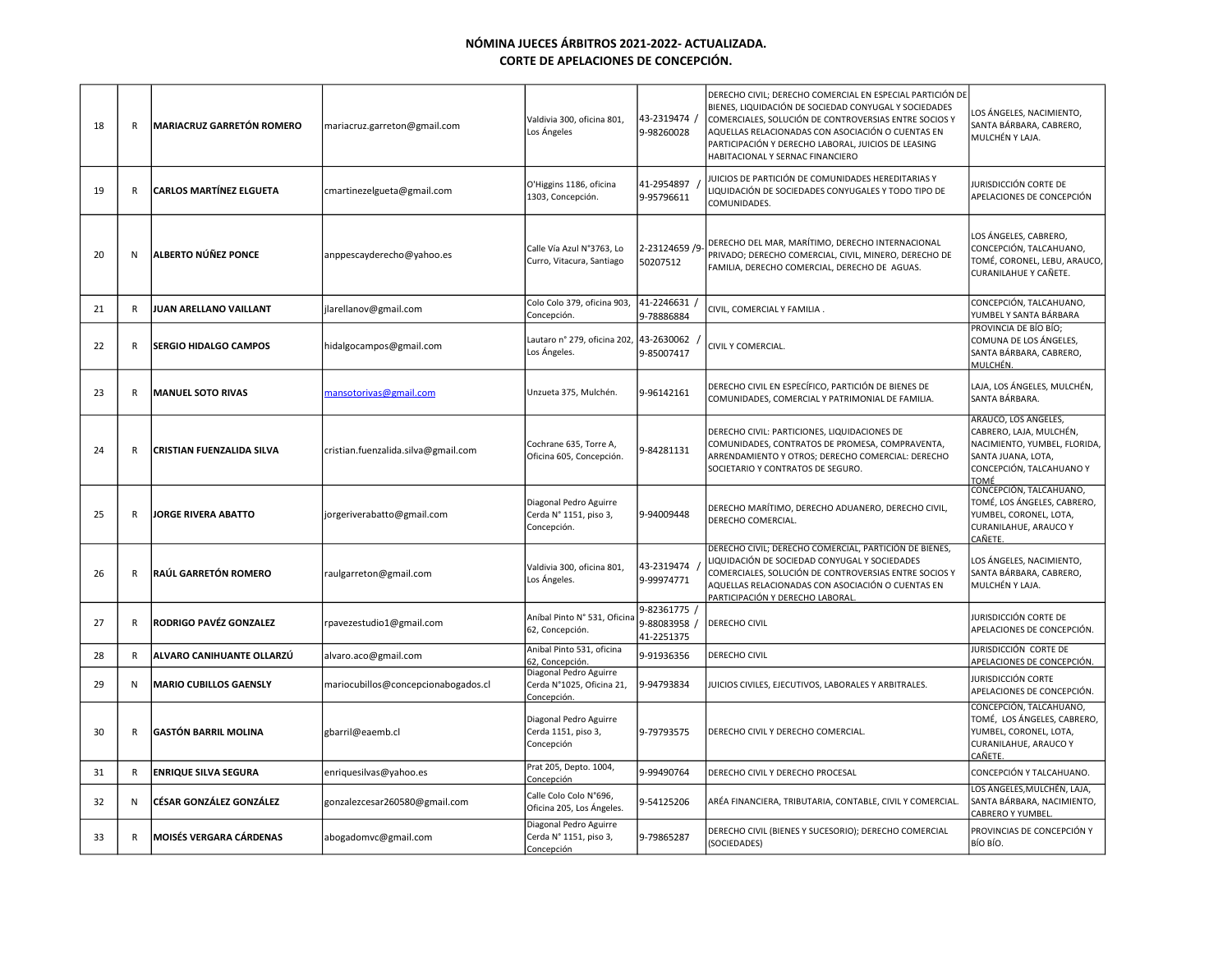| 18 | $\mathsf R$  | <b>MARIACRUZ GARRETÓN ROMERO</b> | mariacruz.garreton@gmail.com        | Valdivia 300, oficina 801,<br>Los Ángeles                         | 43-2319474 /<br>9-98260028             | DERECHO CIVIL; DERECHO COMERCIAL EN ESPECIAL PARTICIÓN DE<br>BIENES, LIQUIDACIÓN DE SOCIEDAD CONYUGAL Y SOCIEDADES<br>COMERCIALES, SOLUCIÓN DE CONTROVERSIAS ENTRE SOCIOS Y<br>AQUELLAS RELACIONADAS CON ASOCIACIÓN O CUENTAS EN<br>PARTICIPACIÓN Y DERECHO LABORAL, JUICIOS DE LEASING<br>HABITACIONAL Y SERNAC FINANCIERO | LOS ÁNGELES, NACIMIENTO,<br>SANTA BÁRBARA, CABRERO,<br>MULCHÉN Y LAJA.                                                                    |
|----|--------------|----------------------------------|-------------------------------------|-------------------------------------------------------------------|----------------------------------------|-----------------------------------------------------------------------------------------------------------------------------------------------------------------------------------------------------------------------------------------------------------------------------------------------------------------------------|-------------------------------------------------------------------------------------------------------------------------------------------|
| 19 | $\mathsf{R}$ | <b>CARLOS MARTÍNEZ ELGUETA</b>   | cmartinezelgueta@gmail.com          | O'Higgins 1186, oficina<br>1303, Concepción.                      | 41-2954897<br>9-95796611               | JUICIOS DE PARTICIÓN DE COMUNIDADES HEREDITARIAS Y<br>LIQUIDACIÓN DE SOCIEDADES CONYUGALES Y TODO TIPO DE<br>COMUNIDADES.                                                                                                                                                                                                   | JURISDICCIÓN CORTE DE<br>APELACIONES DE CONCEPCIÓN                                                                                        |
| 20 | N            | ALBERTO NÚÑEZ PONCE              | anppescayderecho@yahoo.es           | Calle Vía Azul N°3763, Lo<br>Curro, Vitacura, Santiago            | 2-23124659 /9<br>50207512              | DERECHO DEL MAR, MARÍTIMO, DERECHO INTERNACIONAL<br>PRIVADO; DERECHO COMERCIAL, CIVIL, MINERO, DERECHO DE<br>FAMILIA, DERECHO COMERCIAL, DERECHO DE AGUAS.                                                                                                                                                                  | LOS ÁNGELES, CABRERO,<br>CONCEPCIÓN, TALCAHUANO,<br>TOMÉ, CORONEL, LEBU, ARAUCO,<br>CURANILAHUE Y CAÑETE.                                 |
| 21 | R            | JUAN ARELLANO VAILLANT           | jlarellanov@gmail.com               | Colo Colo 379, oficina 903,<br>Concepción                         | 41-2246631<br>9-78886884               | CIVIL, COMERCIAL Y FAMILIA.                                                                                                                                                                                                                                                                                                 | CONCEPCIÓN, TALCAHUANO,<br>YUMBEL Y SANTA BÁRBARA                                                                                         |
| 22 | $\mathsf{R}$ | <b>SERGIO HIDALGO CAMPOS</b>     | hidalgocampos@gmail.com             | Lautaro nº 279, oficina 202,<br>Los Ángeles.                      | 43-2630062<br>9-85007417               | CIVIL Y COMERCIAL.                                                                                                                                                                                                                                                                                                          | PROVINCIA DE BÍO BÍO;<br>COMUNA DE LOS ÁNGELES,<br>SANTA BÁRBARA, CABRERO,<br>MULCHÉN.                                                    |
| 23 | R            | <b>MANUEL SOTO RIVAS</b>         | mansotorivas@gmail.com              | Unzueta 375, Mulchén.                                             | 9-96142161                             | DERECHO CIVIL EN ESPECÍFICO, PARTICIÓN DE BIENES DE<br>COMUNIDADES, COMERCIAL Y PATRIMONIAL DE FAMILIA.                                                                                                                                                                                                                     | LAJA, LOS ÁNGELES, MULCHÉN,<br>SANTA BÁRBARA.                                                                                             |
| 24 | R            | <b>CRISTIAN FUENZALIDA SILVA</b> | cristian.fuenzalida.silva@gmail.com | Cochrane 635, Torre A,<br>Oficina 605, Concepción.                | 9-84281131                             | DERECHO CIVIL: PARTICIONES, LIQUIDACIONES DE<br>COMUNIDADES, CONTRATOS DE PROMESA, COMPRAVENTA,<br>ARRENDAMIENTO Y OTROS; DERECHO COMERCIAL: DERECHO<br>SOCIETARIO Y CONTRATOS DE SEGURO.                                                                                                                                   | ARAUCO, LOS ÁNGELES,<br>CABRERO, LAJA, MULCHÉN,<br>NACIMIENTO, YUMBEL, FLORIDA,<br>SANTA JUANA, LOTA,<br>CONCEPCIÓN, TALCAHUANO Y<br>TOMÉ |
| 25 | $\mathsf{R}$ | JORGE RIVERA ABATTO              | jorgeriverabatto@gmail.com          | Diagonal Pedro Aguirre<br>Cerda Nº 1151, piso 3,<br>Concepción.   | 9-94009448                             | DERECHO MARÍTIMO, DERECHO ADUANERO, DERECHO CIVIL,<br>DERECHO COMERCIAL.                                                                                                                                                                                                                                                    | CONCEPCIÓN, TALCAHUANO,<br>TOMÉ, LOS ÁNGELES, CABRERO,<br>YUMBEL, CORONEL, LOTA,<br>CURANILAHUE, ARAUCO Y<br>CAÑETE.                      |
| 26 | $\mathsf{R}$ | RAÚL GARRETÓN ROMERO             | raulgarreton@gmail.com              | Valdivia 300, oficina 801,<br>Los Ángeles.                        | 43-2319474<br>9-99974771               | DERECHO CIVIL; DERECHO COMERCIAL, PARTICIÓN DE BIENES,<br>LIQUIDACIÓN DE SOCIEDAD CONYUGAL Y SOCIEDADES<br>COMERCIALES, SOLUCIÓN DE CONTROVERSIAS ENTRE SOCIOS Y<br>AQUELLAS RELACIONADAS CON ASOCIACIÓN O CUENTAS EN<br>PARTICIPACIÓN Y DERECHO LABORAL                                                                    | LOS ÁNGELES, NACIMIENTO,<br>SANTA BÁRBARA, CABRERO,<br>MULCHÉN Y LAJA.                                                                    |
| 27 | $\mathsf{R}$ | RODRIGO PAVÉZ GONZALEZ           | rpavezestudio1@gmail.com            | Aníbal Pinto Nº 531, Oficina<br>62, Concepción.                   | 9-82361775<br>9-88083958<br>41-2251375 | <b>DERECHO CIVIL</b>                                                                                                                                                                                                                                                                                                        | JURISDICCIÓN CORTE DE<br>APELACIONES DE CONCEPCIÓN.                                                                                       |
| 28 | $\mathsf{R}$ | ALVARO CANIHUANTE OLLARZÚ        | alvaro.aco@gmail.com                | Anibal Pinto 531, oficina<br>62. Concepción.                      | 9-91936356                             | <b>DERECHO CIVIL</b>                                                                                                                                                                                                                                                                                                        | Jurisdicción corte de<br>APELACIONES DE CONCEPCIÓN.                                                                                       |
| 29 | N            | <b>MARIO CUBILLOS GAENSLY</b>    | mariocubillos@concepcionabogados.cl | Diagonal Pedro Aguirre<br>Cerda N°1025, Oficina 21,<br>Concepción | 9-94793834                             | JUICIOS CIVILES, EJECUTIVOS, LABORALES Y ARBITRALES.                                                                                                                                                                                                                                                                        | JURISDICCIÓN CORTE<br>APELACIONES DE CONCEPCIÓN.                                                                                          |
| 30 | R            | <b>GASTÓN BARRIL MOLINA</b>      | gbarril@eaemb.cl                    | Diagonal Pedro Aguirre<br>Cerda 1151, piso 3,<br>Concepción       | 9-79793575                             | DERECHO CIVIL Y DERECHO COMERCIAL.                                                                                                                                                                                                                                                                                          | CONCEPCIÓN, TALCAHUANO,<br>TOMÉ, LOS ÁNGELES, CABRERO,<br>YUMBEL, CORONEL, LOTA,<br>CURANILAHUE, ARAUCO Y<br>CAÑETE                       |
| 31 | R            | <b>ENRIQUE SILVA SEGURA</b>      | enriquesilvas@yahoo.es              | Prat 205, Depto. 1004,<br>Concepción                              | 9-99490764                             | DERECHO CIVIL Y DERECHO PROCESAL                                                                                                                                                                                                                                                                                            | CONCEPCIÓN Y TALCAHUANO.                                                                                                                  |
| 32 | N            | CÉSAR GONZÁLEZ GONZÁLEZ          | gonzalezcesar260580@gmail.com       | Calle Colo Colo N°696,<br>Oficina 205, Los Ángeles.               | 9-54125206                             | ARÉA FINANCIERA, TRIBUTARIA, CONTABLE, CIVIL Y COMERCIAL.                                                                                                                                                                                                                                                                   | LOS ÁNGELES,MULCHÉN, LAJA,<br>SANTA BÁRBARA, NACIMIENTO,<br>CABRERO Y YUMBEL.                                                             |
| 33 | $\mathsf{R}$ | <b> MOISÉS VERGARA CÁRDENAS</b>  | abogadomvc@gmail.com                | Diagonal Pedro Aguirre<br>Cerda N° 1151, piso 3,<br>Concepción    | 9-79865287                             | DERECHO CIVIL (BIENES Y SUCESORIO); DERECHO COMERCIAL<br>(SOCIEDADES)                                                                                                                                                                                                                                                       | PROVINCIAS DE CONCEPCIÓN Y<br>BÍO BÍO.                                                                                                    |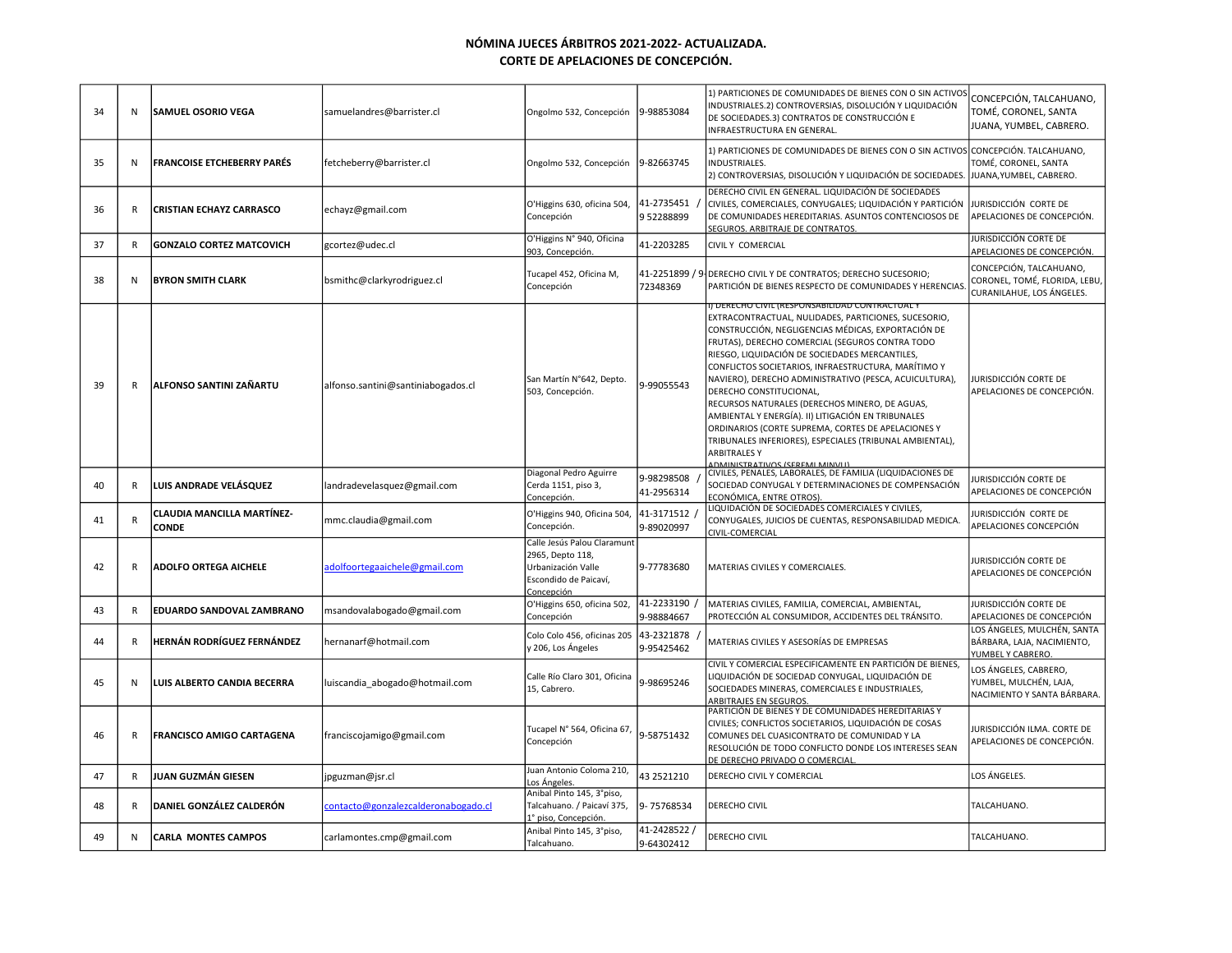| 34 | N            | SAMUEL OSORIO VEGA                         | samuelandres@barrister.cl           | Ongolmo 532, Concepción                                                                                      | 9-98853084                | 1) PARTICIONES DE COMUNIDADES DE BIENES CON O SIN ACTIVOS<br>INDUSTRIALES.2) CONTROVERSIAS, DISOLUCIÓN Y LIQUIDACIÓN<br>DE SOCIEDADES.3) CONTRATOS DE CONSTRUCCIÓN E<br>INFRAESTRUCTURA EN GENERAL.                                                                                                                                                                                                                                                                                                                                                                                                                                                                                                   | CONCEPCIÓN, TALCAHUANO,<br>TOMÉ, CORONEL, SANTA<br>JUANA, YUMBEL, CABRERO.            |
|----|--------------|--------------------------------------------|-------------------------------------|--------------------------------------------------------------------------------------------------------------|---------------------------|-------------------------------------------------------------------------------------------------------------------------------------------------------------------------------------------------------------------------------------------------------------------------------------------------------------------------------------------------------------------------------------------------------------------------------------------------------------------------------------------------------------------------------------------------------------------------------------------------------------------------------------------------------------------------------------------------------|---------------------------------------------------------------------------------------|
| 35 | N            | <b>FRANCOISE ETCHEBERRY PARÉS</b>          | fetcheberry@barrister.cl            | Ongolmo 532, Concepción                                                                                      | 9-82663745                | 1) PARTICIONES DE COMUNIDADES DE BIENES CON O SIN ACTIVOS<br>INDUSTRIALES.<br>2) CONTROVERSIAS, DISOLUCIÓN Y LIQUIDACIÓN DE SOCIEDADES.                                                                                                                                                                                                                                                                                                                                                                                                                                                                                                                                                               | CONCEPCIÓN. TALCAHUANO,<br>TOMÉ, CORONEL, SANTA<br>JUANA, YUMBEL, CABRERO.            |
| 36 | R            | <b>CRISTIAN ECHAYZ CARRASCO</b>            | echayz@gmail.com                    | O'Higgins 630, oficina 504,<br>Concepción                                                                    | 41-2735451<br>952288899   | DERECHO CIVIL EN GENERAL. LIQUIDACIÓN DE SOCIEDADES<br>CIVILES, COMERCIALES, CONYUGALES; LIQUIDACIÓN Y PARTICIÓN<br>DE COMUNIDADES HEREDITARIAS. ASUNTOS CONTENCIOSOS DE<br>SEGUROS. ARBITRAJE DE CONTRATOS.                                                                                                                                                                                                                                                                                                                                                                                                                                                                                          | JURISDICCIÓN CORTE DE<br>APELACIONES DE CONCEPCIÓN.                                   |
| 37 | R            | <b>GONZALO CORTEZ MATCOVICH</b>            | gcortez@udec.cl                     | O'Higgins N° 940, Oficina<br>903, Concepción.                                                                | 41-2203285                | CIVIL Y COMERCIAL                                                                                                                                                                                                                                                                                                                                                                                                                                                                                                                                                                                                                                                                                     | JURISDICCIÓN CORTE DE<br>APELACIONES DE CONCEPCIÓN.                                   |
| 38 | N            | <b>BYRON SMITH CLARK</b>                   | bsmithc@clarkyrodriguez.cl          | Tucapel 452, Oficina M,<br>Concepción                                                                        | 72348369                  | 41-2251899 / 9 DERECHO CIVIL Y DE CONTRATOS; DERECHO SUCESORIO;<br>PARTICIÓN DE BIENES RESPECTO DE COMUNIDADES Y HERENCIAS                                                                                                                                                                                                                                                                                                                                                                                                                                                                                                                                                                            | CONCEPCIÓN, TALCAHUANO,<br>CORONEL, TOMÉ, FLORIDA, LEBU,<br>CURANILAHUE, LOS ÁNGELES. |
| 39 | R            | ALFONSO SANTINI ZAÑARTU                    | alfonso.santini@santiniabogados.cl  | San Martín N°642, Depto.<br>503, Concepción.                                                                 | 9-99055543                | I) DERECHO CIVIL (RESPONSABILIDAD CONTRACTUAL Y<br>EXTRACONTRACTUAL, NULIDADES, PARTICIONES, SUCESORIO,<br>CONSTRUCCIÓN, NEGLIGENCIAS MÉDICAS, EXPORTACIÓN DE<br>FRUTAS), DERECHO COMERCIAL (SEGUROS CONTRA TODO<br>RIESGO, LIQUIDACIÓN DE SOCIEDADES MERCANTILES,<br>CONFLICTOS SOCIETARIOS, INFRAESTRUCTURA, MARÍTIMO Y<br>NAVIERO), DERECHO ADMINISTRATIVO (PESCA, ACUICULTURA),<br>DERECHO CONSTITUCIONAL,<br>RECURSOS NATURALES (DERECHOS MINERO, DE AGUAS,<br>AMBIENTAL Y ENERGÍA). II) LITIGACIÓN EN TRIBUNALES<br>ORDINARIOS (CORTE SUPREMA, CORTES DE APELACIONES Y<br>TRIBUNALES INFERIORES), ESPECIALES (TRIBUNAL AMBIENTAL),<br><b>ARBITRALES Y</b><br>I DMINICTRATIVOS (SEREMI MINIVITI) | JURISDICCIÓN CORTE DE<br>APELACIONES DE CONCEPCIÓN.                                   |
| 40 | R            | LUIS ANDRADE VELÁSQUEZ                     | landradevelasquez@gmail.com         | Diagonal Pedro Aguirre<br>Cerda 1151, piso 3,<br>Concepción.                                                 | 9-98298508<br>41-2956314  | CIVILES, PENALES, LABORALES, DE FAMILIA (LIQUIDACIONES DE<br>SOCIEDAD CONYUGAL Y DETERMINACIONES DE COMPENSACIÓN<br>ECONÓMICA, ENTRE OTROS).                                                                                                                                                                                                                                                                                                                                                                                                                                                                                                                                                          | iurisdicción corte de<br>APELACIONES DE CONCEPCIÓN                                    |
| 41 | R            | CLAUDIA MANCILLA MARTÍNEZ-<br><b>CONDE</b> | mmc.claudia@gmail.com               | O'Higgins 940, Oficina 504,<br>Concepción.                                                                   | 41-3171512<br>9-89020997  | LIQUIDACIÓN DE SOCIEDADES COMERCIALES Y CIVILES,<br>CONYUGALES, JUICIOS DE CUENTAS, RESPONSABILIDAD MEDICA.<br>CIVIL-COMERCIAL                                                                                                                                                                                                                                                                                                                                                                                                                                                                                                                                                                        | iurisdicción corte de<br>APELACIONES CONCEPCIÓN                                       |
| 42 | R            | <b>ADOLFO ORTEGA AICHELE</b>               | adolfoortegaaichele@gmail.com       | Calle Jesús Palou Claramunt<br>2965, Depto 118,<br>Urbanización Valle<br>Escondido de Paicaví,<br>Concepción | 9-77783680                | MATERIAS CIVILES Y COMERCIALES.                                                                                                                                                                                                                                                                                                                                                                                                                                                                                                                                                                                                                                                                       | JURISDICCIÓN CORTE DE<br>APELACIONES DE CONCEPCIÓN                                    |
| 43 | $\mathsf{R}$ | <b>EDUARDO SANDOVAL ZAMBRANO</b>           | msandovalabogado@gmail.com          | O'Higgins 650, oficina 502,<br>Concepción                                                                    | 41-2233190<br>9-98884667  | MATERIAS CIVILES, FAMILIA, COMERCIAL, AMBIENTAL,<br>PROTECCIÓN AL CONSUMIDOR, ACCIDENTES DEL TRÁNSITO.                                                                                                                                                                                                                                                                                                                                                                                                                                                                                                                                                                                                | JURISDICCIÓN CORTE DE<br>APELACIONES DE CONCEPCIÓN                                    |
| 44 | R            | HERNÁN RODRÍGUEZ FERNÁNDEZ                 | hernanarf@hotmail.com               | Colo Colo 456, oficinas 205<br>y 206, Los Ángeles                                                            | 43-2321878<br>9-95425462  | MATERIAS CIVILES Y ASESORÍAS DE EMPRESAS                                                                                                                                                                                                                                                                                                                                                                                                                                                                                                                                                                                                                                                              | LOS ÁNGELES, MULCHÉN, SANTA<br>BÁRBARA, LAJA, NACIMIENTO,<br>YUMBEL Y CABRERO.        |
| 45 | N            | LUIS ALBERTO CANDIA BECERRA                | luiscandia_abogado@hotmail.com      | Calle Río Claro 301, Oficina<br>15, Cabrero.                                                                 | 9-98695246                | CIVIL Y COMERCIAL ESPECIFICAMENTE EN PARTICIÓN DE BIENES,<br>LIQUIDACIÓN DE SOCIEDAD CONYUGAL, LIQUIDACIÓN DE<br>SOCIEDADES MINERAS, COMERCIALES E INDUSTRIALES,<br>ARBITRAJES EN SEGUROS.                                                                                                                                                                                                                                                                                                                                                                                                                                                                                                            | LOS ÁNGELES, CABRERO,<br>YUMBEL, MULCHÉN, LAJA,<br>NACIMIENTO Y SANTA BÁRBARA.        |
| 46 | R            | <b>FRANCISCO AMIGO CARTAGENA</b>           | franciscojamigo@gmail.com           | Tucapel N° 564, Oficina 67,<br>Concepción                                                                    | 9-58751432                | PARTICIÓN DE BIENES Y DE COMUNIDADES HEREDITARIAS Y<br>CIVILES; CONFLICTOS SOCIETARIOS, LIQUIDACIÓN DE COSAS<br>COMUNES DEL CUASICONTRATO DE COMUNIDAD Y LA<br>RESOLUCIÓN DE TODO CONFLICTO DONDE LOS INTERESES SEAN<br>DE DERECHO PRIVADO O COMERCIAL                                                                                                                                                                                                                                                                                                                                                                                                                                                | JURISDICCIÓN ILMA. CORTE DE<br>APELACIONES DE CONCEPCIÓN.                             |
| 47 | R            | JUAN GUZMÁN GIESEN                         | jpguzman@jsr.cl                     | Juan Antonio Coloma 210,<br>Los Ángeles.                                                                     | 43 2521210                | DERECHO CIVIL Y COMERCIAL                                                                                                                                                                                                                                                                                                                                                                                                                                                                                                                                                                                                                                                                             | LOS ÁNGELES.                                                                          |
| 48 | R            | DANIEL GONZÁLEZ CALDERÓN                   | contacto@gonzalezcalderonabogado.cl | Anibal Pinto 145, 3°piso,<br>Talcahuano. / Paicaví 375,<br>l <sup>°</sup> piso, Concepción.                  | 9-75768534                | DERECHO CIVIL                                                                                                                                                                                                                                                                                                                                                                                                                                                                                                                                                                                                                                                                                         | TALCAHUANO.                                                                           |
| 49 | N            | <b>CARLA MONTES CAMPOS</b>                 | carlamontes.cmp@gmail.com           | Anibal Pinto 145, 3°piso,<br>Talcahuano.                                                                     | 41-2428522/<br>9-64302412 | DERECHO CIVIL                                                                                                                                                                                                                                                                                                                                                                                                                                                                                                                                                                                                                                                                                         | TALCAHUANO.                                                                           |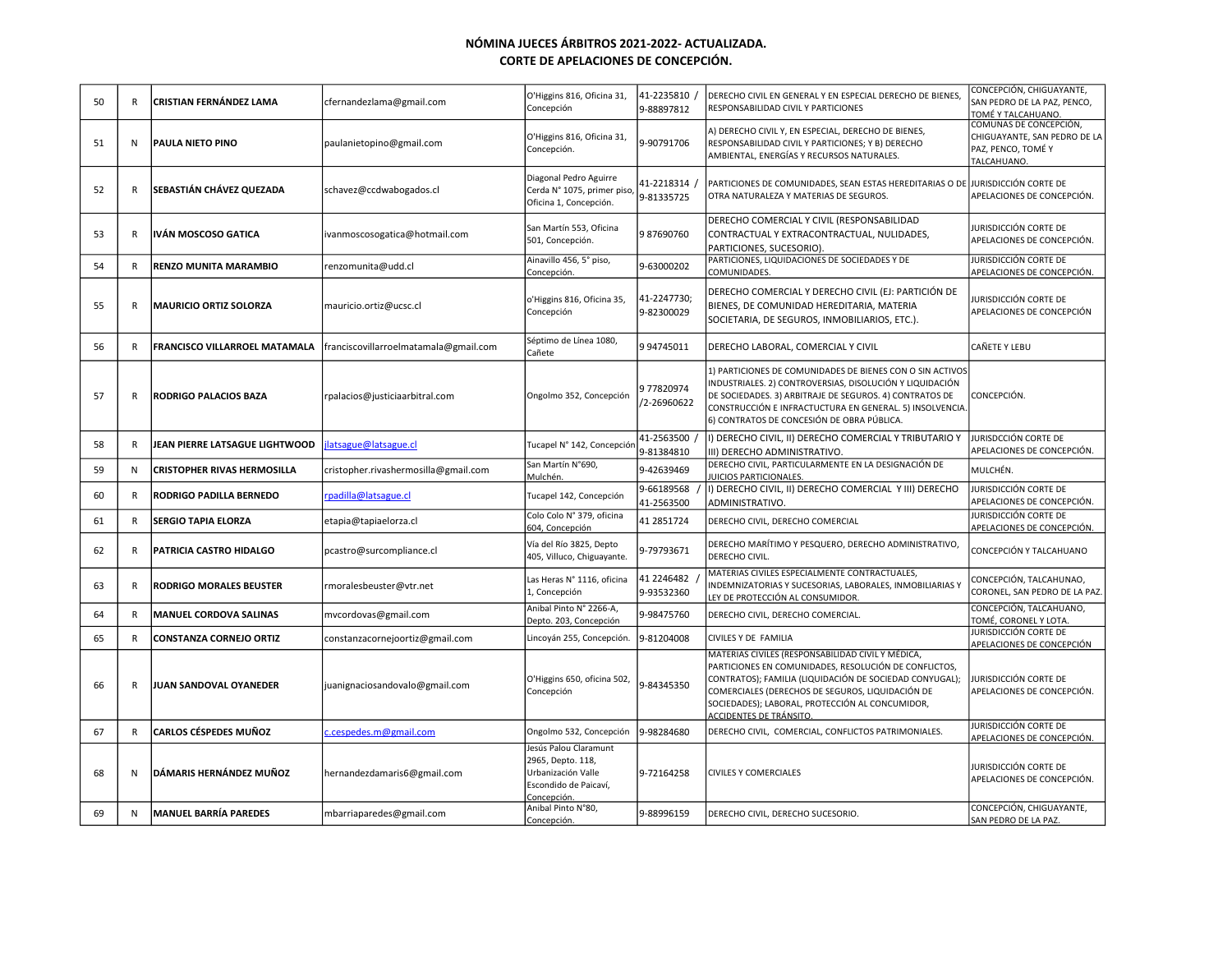| 50 | R            | <b>CRISTIAN FERNÁNDEZ LAMA</b>       | cfernandezlama@gmail.com              | O'Higgins 816, Oficina 31,<br>Concepción                                                                 | 41-2235810<br>9-88897812   | DERECHO CIVIL EN GENERAL Y EN ESPECIAL DERECHO DE BIENES,<br>RESPONSABILIDAD CIVIL Y PARTICIONES                                                                                                                                                                                                        | CONCEPCIÓN, CHIGUAYANTE,<br>SAN PEDRO DE LA PAZ, PENCO,<br>TOMÉ Y TALCAHUANO.               |
|----|--------------|--------------------------------------|---------------------------------------|----------------------------------------------------------------------------------------------------------|----------------------------|---------------------------------------------------------------------------------------------------------------------------------------------------------------------------------------------------------------------------------------------------------------------------------------------------------|---------------------------------------------------------------------------------------------|
| 51 | N            | <b>PAULA NIETO PINO</b>              | paulanietopino@gmail.com              | O'Higgins 816, Oficina 31,<br>Concepción.                                                                | 9-90791706                 | A) DERECHO CIVIL Y, EN ESPECIAL, DERECHO DE BIENES,<br>RESPONSABILIDAD CIVIL Y PARTICIONES; Y B) DERECHO<br>AMBIENTAL, ENERGÍAS Y RECURSOS NATURALES.                                                                                                                                                   | COMUNAS DE CONCEPCIÓN,<br>CHIGUAYANTE, SAN PEDRO DE LA<br>PAZ, PENCO, TOMÉ Y<br>TALCAHUANO. |
| 52 | R            | <b>SEBASTIÁN CHÁVEZ QUEZADA</b>      | schavez@ccdwabogados.cl               | Diagonal Pedro Aguirre<br>Cerda N° 1075, primer piso,<br>Oficina 1, Concepción.                          | 41-2218314 /<br>9-81335725 | PARTICIONES DE COMUNIDADES, SEAN ESTAS HEREDITARIAS O DE JURISDICCIÓN CORTE DE<br>OTRA NATURALEZA Y MATERIAS DE SEGUROS.                                                                                                                                                                                | APELACIONES DE CONCEPCIÓN.                                                                  |
| 53 | $\mathsf{R}$ | IVÁN MOSCOSO GATICA                  | ivanmoscosogatica@hotmail.com         | San Martín 553, Oficina<br>501, Concepción.                                                              | 987690760                  | DERECHO COMERCIAL Y CIVIL (RESPONSABILIDAD<br>CONTRACTUAL Y EXTRACONTRACTUAL, NULIDADES,<br>PARTICIONES, SUCESORIO).                                                                                                                                                                                    | JURISDICCIÓN CORTE DE<br>APELACIONES DE CONCEPCIÓN.                                         |
| 54 | R            | <b>RENZO MUNITA MARAMBIO</b>         | renzomunita@udd.cl                    | Ainavillo 456, 5° piso,<br>Concepción.                                                                   | 9-63000202                 | PARTICIONES, LIQUIDACIONES DE SOCIEDADES Y DE<br>COMUNIDADES.                                                                                                                                                                                                                                           | JURISDICCIÓN CORTE DE<br>APELACIONES DE CONCEPCIÓN.                                         |
| 55 | R            | <b>MAURICIO ORTIZ SOLORZA</b>        | mauricio.ortiz@ucsc.cl                | o'Higgins 816, Oficina 35,<br>Concepción                                                                 | 41-2247730;<br>9-82300029  | DERECHO COMERCIAL Y DERECHO CIVIL (EJ: PARTICIÓN DE<br>BIENES, DE COMUNIDAD HEREDITARIA, MATERIA<br>SOCIETARIA, DE SEGUROS, INMOBILIARIOS, ETC.).                                                                                                                                                       | iurisdicción corte de<br>APELACIONES DE CONCEPCIÓN                                          |
| 56 | R            | <b>FRANCISCO VILLARROEL MATAMALA</b> | franciscovillarroelmatamala@gmail.com | Séptimo de Línea 1080,<br>Cañete                                                                         | 9 94745011                 | DERECHO LABORAL, COMERCIAL Y CIVIL                                                                                                                                                                                                                                                                      | CAÑETE Y LEBU                                                                               |
| 57 | $\mathsf{R}$ | <b>RODRIGO PALACIOS BAZA</b>         | rpalacios@justiciaarbitral.com        | Ongolmo 352, Concepción                                                                                  | 977820974<br>/2-26960622   | 1) PARTICIONES DE COMUNIDADES DE BIENES CON O SIN ACTIVOS<br>INDUSTRIALES. 2) CONTROVERSIAS, DISOLUCIÓN Y LIQUIDACIÓN<br>DE SOCIEDADES. 3) ARBITRAJE DE SEGUROS. 4) CONTRATOS DE<br>CONSTRUCCIÓN E INFRACTUCTURA EN GENERAL. 5) INSOLVENCIA.<br>6) CONTRATOS DE CONCESIÓN DE OBRA PÚBLICA.              | CONCEPCIÓN.                                                                                 |
| 58 | $\mathsf{R}$ | JEAN PIERRE LATSAGUE LIGHTWOOD       | latsague@latsague.cl                  | Tucapel Nº 142, Concepció                                                                                | 41-2563500<br>9-81384810   | II) DERECHO CIVIL, II) DERECHO COMERCIAL Y TRIBUTARIO Y<br>III) DERECHO ADMINISTRATIVO.                                                                                                                                                                                                                 | JURISDCCIÓN CORTE DE<br>APELACIONES DE CONCEPCIÓN.                                          |
| 59 | N            | <b>CRISTOPHER RIVAS HERMOSILLA</b>   | cristopher.rivashermosilla@gmail.com  | San Martín N°690,<br>Mulchén.                                                                            | 9-42639469                 | DERECHO CIVIL, PARTICULARMENTE EN LA DESIGNACIÓN DE<br>JUICIOS PARTICIONALES.                                                                                                                                                                                                                           | MULCHÉN.                                                                                    |
| 60 | R            | <b>RODRIGO PADILLA BERNEDO</b>       | padilla@latsague.cl                   | Tucapel 142, Concepción                                                                                  | 9-66189568<br>41-2563500   | I) DERECHO CIVIL, II) DERECHO COMERCIAL Y III) DERECHO<br>ADMINISTRATIVO.                                                                                                                                                                                                                               | JURISDICCIÓN CORTE DE<br>APELACIONES DE CONCEPCIÓN.                                         |
| 61 | R            | <b>SERGIO TAPIA ELORZA</b>           | etapia@tapiaelorza.cl                 | Colo Colo Nº 379, oficina<br>604, Concepción                                                             | 41 2851724                 | DERECHO CIVIL, DERECHO COMERCIAL                                                                                                                                                                                                                                                                        | JURISDICCIÓN CORTE DE<br>APELACIONES DE CONCEPCIÓN.                                         |
| 62 | R            | <b>PATRICIA CASTRO HIDALGO</b>       | pcastro@surcompliance.cl              | Vía del Río 3825, Depto<br>405, Villuco, Chiguayante.                                                    | 9-79793671                 | DERECHO MARÍTIMO Y PESQUERO, DERECHO ADMINISTRATIVO,<br>DERECHO CIVIL.                                                                                                                                                                                                                                  | CONCEPCIÓN Y TALCAHUANO                                                                     |
| 63 | $\mathsf{R}$ | <b>RODRIGO MORALES BEUSTER</b>       | rmoralesbeuster@vtr.net               | Las Heras N° 1116, oficina<br>1, Concepción                                                              | 41 2246482<br>9-93532360   | MATERIAS CIVILES ESPECIALMENTE CONTRACTUALES,<br>INDEMNIZATORIAS Y SUCESORIAS, LABORALES, INMOBILIARIAS Y<br>LEY DE PROTECCIÓN AL CONSUMIDOR.                                                                                                                                                           | CONCEPCIÓN, TALCAHUNAO,<br>CORONEL, SAN PEDRO DE LA PAZ.                                    |
| 64 | $\mathsf{R}$ | <b>MANUEL CORDOVA SALINAS</b>        | mvcordovas@gmail.com                  | Anibal Pinto Nº 2266-A,<br>Depto. 203, Concepción                                                        | 9-98475760                 | DERECHO CIVIL, DERECHO COMERCIAL.                                                                                                                                                                                                                                                                       | CONCEPCIÓN, TALCAHUANO,<br>TOMÉ, CORONEL Y LOTA.                                            |
| 65 | R            | <b>CONSTANZA CORNEJO ORTIZ</b>       | constanzacornejoortiz@gmail.com       | Lincoyán 255, Concepción.                                                                                | 9-81204008                 | CIVILES Y DE FAMILIA                                                                                                                                                                                                                                                                                    | JURISDICCIÓN CORTE DE<br>APELACIONES DE CONCEPCIÓN                                          |
| 66 | $\mathsf{R}$ | JUAN SANDOVAL OYANEDER               | juanignaciosandovalo@gmail.com        | O'Higgins 650, oficina 502,<br>Concepción                                                                | 9-84345350                 | MATERIAS CIVILES (RESPONSABILIDAD CIVIL Y MÉDICA,<br>PARTICIONES EN COMUNIDADES, RESOLUCIÓN DE CONFLICTOS,<br>CONTRATOS); FAMILIA (LIQUIDACIÓN DE SOCIEDAD CONYUGAL);<br>COMERCIALES (DERECHOS DE SEGUROS, LIQUIDACIÓN DE<br>SOCIEDADES); LABORAL, PROTECCIÓN AL CONCUMIDOR,<br>ACCIDENTES DE TRÁNSITO. | JURISDICCIÓN CORTE DE<br>APELACIONES DE CONCEPCIÓN.                                         |
| 67 | R            | CARLOS CÉSPEDES MUÑOZ                | .cespedes.m@gmail.com                 | Ongolmo 532, Concepción                                                                                  | 9-98284680                 | DERECHO CIVIL, COMERCIAL, CONFLICTOS PATRIMONIALES.                                                                                                                                                                                                                                                     | JURISDICCIÓN CORTE DE<br>APELACIONES DE CONCEPCIÓN.                                         |
| 68 | N            | DÁMARIS HERNÁNDEZ MUÑOZ              | hernandezdamaris6@gmail.com           | Jesús Palou Claramunt<br>2965, Depto. 118,<br>Urbanización Valle<br>Escondido de Paicaví,<br>Concepción. | 9-72164258                 | <b>CIVILES Y COMERCIALES</b>                                                                                                                                                                                                                                                                            | JURISDICCIÓN CORTE DE<br>APELACIONES DE CONCEPCIÓN.                                         |
| 69 | N            | <b>MANUEL BARRÍA PAREDES</b>         | mbarriaparedes@gmail.com              | Anibal Pinto N°80,<br>Concepción.                                                                        | 9-88996159                 | DERECHO CIVIL, DERECHO SUCESORIO.                                                                                                                                                                                                                                                                       | CONCEPCIÓN, CHIGUAYANTE,<br>SAN PEDRO DE LA PAZ                                             |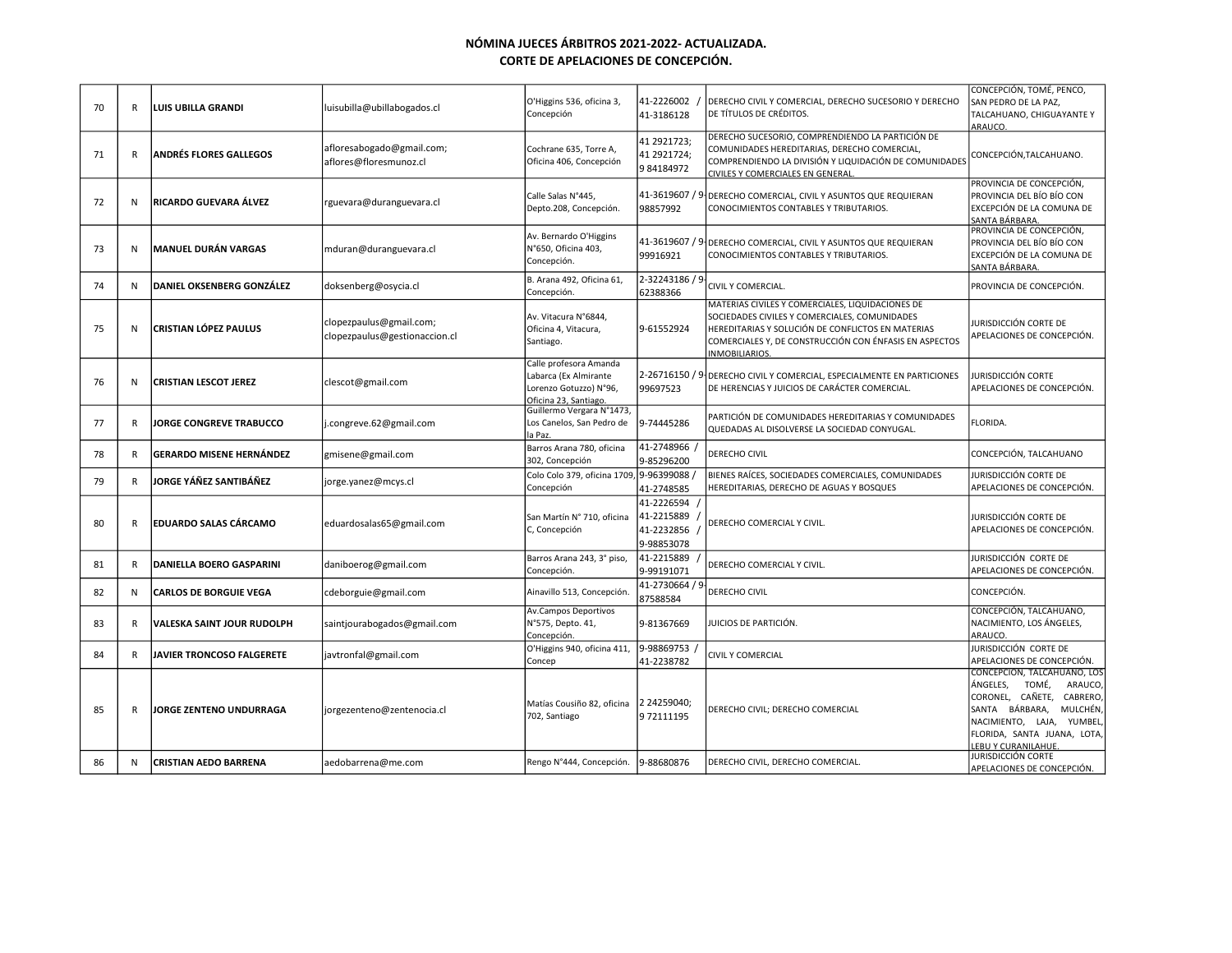| 70 | R | LLUIS UBILLA GRANDI              | luisubilla@ubillabogados.cl                              | O'Higgins 536, oficina 3,<br>Concepción                                                            | 41-2226002<br>41-3186128                             | DERECHO CIVIL Y COMERCIAL, DERECHO SUCESORIO Y DERECHO<br>DE TÍTULOS DE CRÉDITOS.                                                                                                                                                        | CONCEPCIÓN, TOMÉ, PENCO.<br>SAN PEDRO DE LA PAZ,<br>TALCAHUANO, CHIGUAYANTE Y<br>ARAUCO.                                                                                                                       |
|----|---|----------------------------------|----------------------------------------------------------|----------------------------------------------------------------------------------------------------|------------------------------------------------------|------------------------------------------------------------------------------------------------------------------------------------------------------------------------------------------------------------------------------------------|----------------------------------------------------------------------------------------------------------------------------------------------------------------------------------------------------------------|
| 71 | R | <b>ANDRÉS FLORES GALLEGOS</b>    | afloresabogado@gmail.com;<br>aflores@floresmunoz.cl      | Cochrane 635, Torre A,<br>Oficina 406, Concepción                                                  | 41 2921723;<br>41 2921724;<br>9 84184972             | DERECHO SUCESORIO, COMPRENDIENDO LA PARTICIÓN DE<br>COMUNIDADES HEREDITARIAS, DERECHO COMERCIAL,<br>COMPRENDIENDO LA DIVISIÓN Y LIQUIDACIÓN DE COMUNIDADES<br>CIVILES Y COMERCIALES EN GENERAL                                           | CONCEPCIÓN, TALCAHUANO.                                                                                                                                                                                        |
| 72 | N | RICARDO GUEVARA ÁLVEZ            | rguevara@duranguevara.cl                                 | Calle Salas N°445,<br>Depto.208, Concepción.                                                       | 98857992                                             | 41-3619607 / 9 DERECHO COMERCIAL, CIVIL Y ASUNTOS QUE REQUIERAN<br>CONOCIMIENTOS CONTABLES Y TRIBUTARIOS.                                                                                                                                | PROVINCIA DE CONCEPCIÓN,<br>PROVINCIA DEL BÍO BÍO CON<br>EXCEPCIÓN DE LA COMUNA DE<br>SANTA BÁRBARA                                                                                                            |
| 73 | N | MANUEL DURÁN VARGAS              | mduran@duranguevara.cl                                   | Av. Bernardo O'Higgins<br>N°650, Oficina 403,<br>Concepción.                                       | 99916921                                             | 41-3619607 / 9 DERECHO COMERCIAL, CIVIL Y ASUNTOS QUE REQUIERAN<br>CONOCIMIENTOS CONTABLES Y TRIBUTARIOS.                                                                                                                                | PROVINCIA DE CONCEPCIÓN,<br>PROVINCIA DEL BÍO BÍO CON<br>EXCEPCIÓN DE LA COMUNA DE<br>SANTA BÁRBARA                                                                                                            |
| 74 | N | <b>DANIEL OKSENBERG GONZÁLEZ</b> | doksenberg@osycia.cl                                     | B. Arana 492, Oficina 61,<br>Concepción.                                                           | 2-32243186 / 9<br>62388366                           | CIVIL Y COMERCIAL.                                                                                                                                                                                                                       | PROVINCIA DE CONCEPCIÓN.                                                                                                                                                                                       |
| 75 | N | <b>CRISTIAN LÓPEZ PAULUS</b>     | clopezpaulus@gmail.com;<br>clopezpaulus@gestionaccion.cl | Av. Vitacura N°6844,<br>Oficina 4, Vitacura,<br>Santiago.                                          | 9-61552924                                           | MATERIAS CIVILES Y COMERCIALES, LIQUIDACIONES DE<br>SOCIEDADES CIVILES Y COMERCIALES, COMUNIDADES<br>HEREDITARIAS Y SOLUCIÓN DE CONFLICTOS EN MATERIAS<br>COMERCIALES Y, DE CONSTRUCCIÓN CON ÉNFASIS EN ASPECTOS<br><b>INMOBILIARIOS</b> | JURISDICCIÓN CORTE DE<br>APELACIONES DE CONCEPCIÓN.                                                                                                                                                            |
| 76 | N | <b>CRISTIAN LESCOT JEREZ</b>     | clescot@gmail.com                                        | Calle profesora Amanda<br>Labarca (Ex Almirante<br>Lorenzo Gotuzzo) N°96,<br>Oficina 23, Santiago. | 99697523                                             | 2-26716150 / 9 DERECHO CIVIL Y COMERCIAL, ESPECIALMENTE EN PARTICIONES<br>DE HERENCIAS Y JUICIOS DE CARÁCTER COMERCIAL.                                                                                                                  | JURISDICCIÓN CORTE<br>APELACIONES DE CONCEPCIÓN.                                                                                                                                                               |
| 77 | R | <b>JORGE CONGREVE TRABUCCO</b>   | j.congreve.62@gmail.com                                  | Guillermo Vergara N°1473,<br>Los Canelos, San Pedro de<br>a Paz.                                   | 9-74445286                                           | PARTICIÓN DE COMUNIDADES HEREDITARIAS Y COMUNIDADES<br>QUEDADAS AL DISOLVERSE LA SOCIEDAD CONYUGAL.                                                                                                                                      | FLORIDA.                                                                                                                                                                                                       |
| 78 | R | <b>GERARDO MISENE HERNÁNDEZ</b>  | gmisene@gmail.com                                        | Barros Arana 780, oficina<br>302, Concepción                                                       | 41-2748966<br>9-85296200                             | DERECHO CIVIL                                                                                                                                                                                                                            | CONCEPCIÓN, TALCAHUANO                                                                                                                                                                                         |
| 79 | R | JORGE YÁÑEZ SANTIBÁÑEZ           | jorge.yanez@mcys.cl                                      | Colo Colo 379, oficina 1709<br>Concepción                                                          | 9-96399088<br>41-2748585                             | BIENES RAÍCES, SOCIEDADES COMERCIALES, COMUNIDADES<br>HEREDITARIAS, DERECHO DE AGUAS Y BOSQUES                                                                                                                                           | JURISDICCIÓN CORTE DE<br>APELACIONES DE CONCEPCIÓN.                                                                                                                                                            |
| 80 | R | <b>EDUARDO SALAS CÁRCAMO</b>     | eduardosalas65@gmail.com                                 | San Martín Nº 710, oficina<br>C, Concepción                                                        | 41-2226594<br>41-2215889<br>41-2232856<br>9-98853078 | DERECHO COMERCIAL Y CIVIL.                                                                                                                                                                                                               | JURISDICCIÓN CORTE DE<br>APELACIONES DE CONCEPCIÓN.                                                                                                                                                            |
| 81 | R | <b>DANIELLA BOERO GASPARINI</b>  | daniboerog@gmail.com                                     | Barros Arana 243, 3° piso,<br>Concepción.                                                          | 41-2215889<br>9-99191071                             | DERECHO COMERCIAL Y CIVIL.                                                                                                                                                                                                               | Jurisdicción corte de<br>APELACIONES DE CONCEPCIÓN.                                                                                                                                                            |
| 82 | N | <b>CARLOS DE BORGUIE VEGA</b>    | cdeborguie@gmail.com                                     | Ainavillo 513, Concepción.                                                                         | 41-2730664 / 9<br>87588584                           | DERECHO CIVIL                                                                                                                                                                                                                            | CONCEPCIÓN.                                                                                                                                                                                                    |
| 83 | R | VALESKA SAINT JOUR RUDOLPH       | saintjourabogados@gmail.com                              | Av.Campos Deportivos<br>N°575, Depto. 41,<br>Concepción.                                           | 9-81367669                                           | JUICIOS DE PARTICIÓN.                                                                                                                                                                                                                    | CONCEPCIÓN, TALCAHUANO,<br>NACIMIENTO, LOS ÁNGELES,<br>ARAUCO.                                                                                                                                                 |
| 84 | R | JAVIER TRONCOSO FALGERETE        | javtronfal@gmail.com                                     | O'Higgins 940, oficina 411,<br>Concep                                                              | 9-98869753<br>41-2238782                             | <b>CIVIL Y COMERCIAL</b>                                                                                                                                                                                                                 | JURISDICCIÓN CORTE DE<br>APELACIONES DE CONCEPCIÓN.                                                                                                                                                            |
| 85 | R | JORGE ZENTENO UNDURRAGA          | jorgezenteno@zentenocia.cl                               | Matías Cousiño 82, oficina<br>702, Santiago                                                        | 2 24259040;<br>9 72111195                            | DERECHO CIVIL; DERECHO COMERCIAL                                                                                                                                                                                                         | CONCEPCIÓN, TALCAHUANO, LOS<br>TOMÉ,<br>ÁNGELES.<br>ARAUCO,<br>CORONEL, CAÑETE,<br>CABRERO,<br>BÁRBARA,<br>MULCHÉN,<br>SANTA<br>NACIMIENTO, LAJA, YUMBEL<br>FLORIDA, SANTA JUANA, LOTA,<br>LEBU Y CURANILAHUE. |
| 86 | N | <b>CRISTIAN AEDO BARRENA</b>     | aedobarrena@me.com                                       | Rengo N°444, Concepción.                                                                           | 9-88680876                                           | DERECHO CIVIL, DERECHO COMERCIAL.                                                                                                                                                                                                        | JURISDICCIÓN CORTE<br>APELACIONES DE CONCEPCIÓN.                                                                                                                                                               |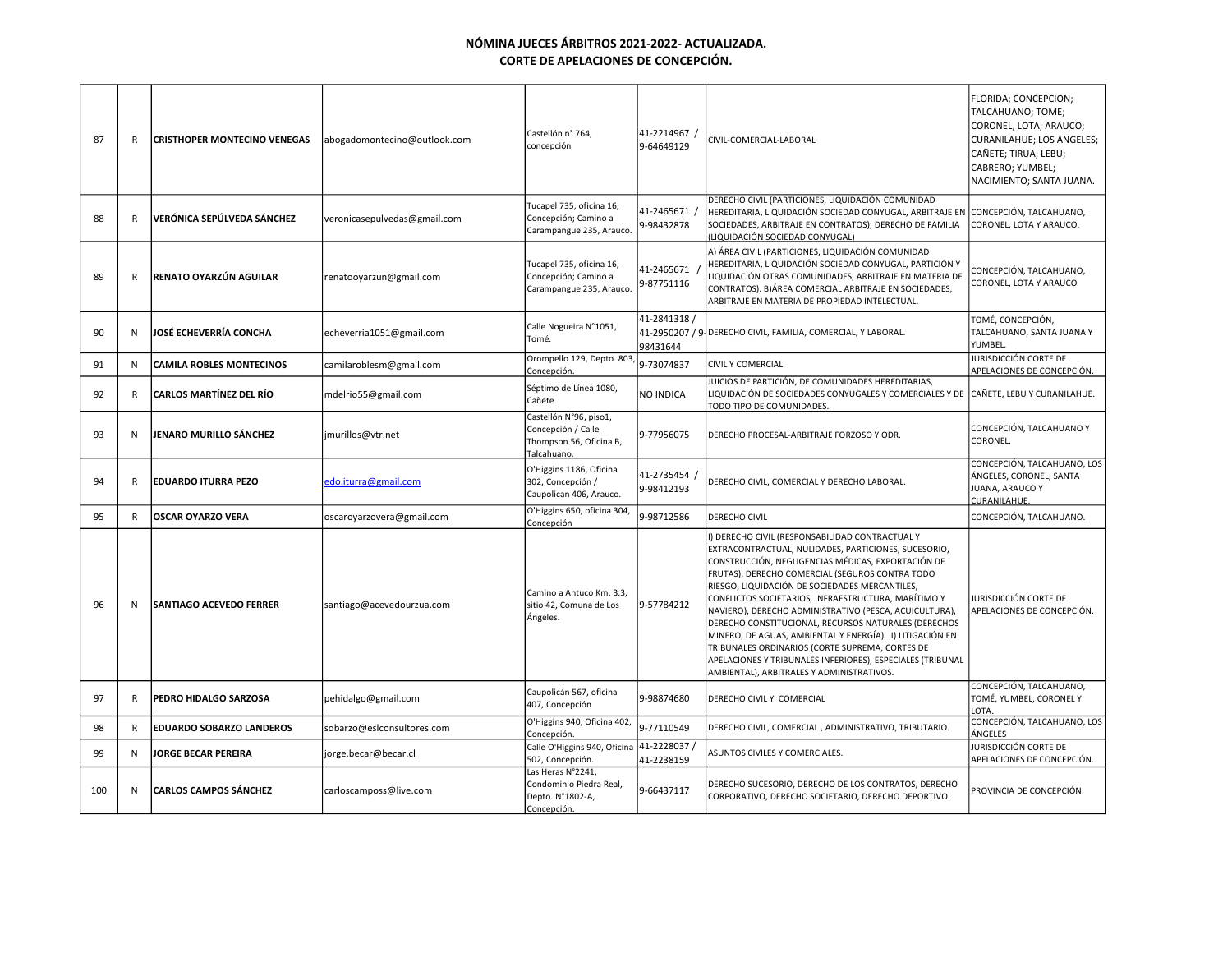| 87  | R            | <b>CRISTHOPER MONTECINO VENEGAS</b> | abogadomontecino@outlook.com | Castellón nº 764,<br>concepción                                                        | , 41-2214967<br>9-64649129 | CIVIL-COMERCIAL-LABORAL                                                                                                                                                                                                                                                                                                                                                                                                                                                                                                                                                                                                                                                | FLORIDA; CONCEPCION;<br>TALCAHUANO; TOME;<br>CORONEL, LOTA; ARAUCO;<br>CURANILAHUE; LOS ANGELES;<br>CAÑETE; TIRUA; LEBU;<br>CABRERO; YUMBEL;<br>NACIMIENTO; SANTA JUANA. |
|-----|--------------|-------------------------------------|------------------------------|----------------------------------------------------------------------------------------|----------------------------|------------------------------------------------------------------------------------------------------------------------------------------------------------------------------------------------------------------------------------------------------------------------------------------------------------------------------------------------------------------------------------------------------------------------------------------------------------------------------------------------------------------------------------------------------------------------------------------------------------------------------------------------------------------------|--------------------------------------------------------------------------------------------------------------------------------------------------------------------------|
| 88  | R            | VERÓNICA SEPÚLVEDA SÁNCHEZ          | veronicasepulvedas@gmail.com | Tucapel 735, oficina 16,<br>Concepción; Camino a<br>Carampangue 235, Arauco.           | 41-2465671<br>9-98432878   | DERECHO CIVIL (PARTICIONES, LIQUIDACIÓN COMUNIDAD<br>HEREDITARIA, LIQUIDACIÓN SOCIEDAD CONYUGAL, ARBITRAJE EN<br>SOCIEDADES, ARBITRAJE EN CONTRATOS); DERECHO DE FAMILIA<br>(LIQUIDACIÓN SOCIEDAD CONYUGAL)                                                                                                                                                                                                                                                                                                                                                                                                                                                            | CONCEPCIÓN, TALCAHUANO,<br>CORONEL, LOTA Y ARAUCO.                                                                                                                       |
| 89  | R            | RENATO OYARZÚN AGUILAR              | renatooyarzun@gmail.com      | Tucapel 735, oficina 16,<br>Concepción; Camino a<br>Carampangue 235, Arauco.           | 41-2465671<br>9-87751116   | A) ÁREA CIVIL (PARTICIONES, LIQUIDACIÓN COMUNIDAD<br>HEREDITARIA, LIQUIDACIÓN SOCIEDAD CONYUGAL, PARTICIÓN Y<br>LIQUIDACIÓN OTRAS COMUNIDADES, ARBITRAJE EN MATERIA DE<br>CONTRATOS). B)ÁREA COMERCIAL ARBITRAJE EN SOCIEDADES,<br>ARBITRAJE EN MATERIA DE PROPIEDAD INTELECTUAL.                                                                                                                                                                                                                                                                                                                                                                                      | CONCEPCIÓN, TALCAHUANO,<br>CORONEL, LOTA Y ARAUCO                                                                                                                        |
| 90  | N            | <b>JOSÉ ECHEVERRÍA CONCHA</b>       | echeverria1051@gmail.com     | Calle Nogueira N°1051,<br>Tomé.                                                        | 41-2841318 /<br>98431644   | 41-2950207 / 9 DERECHO CIVIL, FAMILIA, COMERCIAL, Y LABORAL.                                                                                                                                                                                                                                                                                                                                                                                                                                                                                                                                                                                                           | TOMÉ, CONCEPCIÓN,<br>TALCAHUANO, SANTA JUANA Y<br>YUMBEL.                                                                                                                |
| 91  | N            | <b>CAMILA ROBLES MONTECINOS</b>     | camilaroblesm@gmail.com      | Orompello 129, Depto. 803<br>Concepción.                                               | 9-73074837                 | <b>CIVIL Y COMERCIAL</b>                                                                                                                                                                                                                                                                                                                                                                                                                                                                                                                                                                                                                                               | JURISDICCIÓN CORTE DE<br>APELACIONES DE CONCEPCIÓN.                                                                                                                      |
| 92  | $\mathsf{R}$ | <b>CARLOS MARTÍNEZ DEL RÍO</b>      | mdelrio55@gmail.com          | Séptimo de Línea 1080,<br>Cañete                                                       | NO INDICA                  | JUICIOS DE PARTICIÓN, DE COMUNIDADES HEREDITARIAS,<br>LIQUIDACIÓN DE SOCIEDADES CONYUGALES Y COMERCIALES Y DE<br>TODO TIPO DE COMUNIDADES.                                                                                                                                                                                                                                                                                                                                                                                                                                                                                                                             | CAÑETE, LEBU Y CURANILAHUE.                                                                                                                                              |
| 93  | N            | JENARO MURILLO SÁNCHEZ              | jmurillos@vtr.net            | Castellón N°96, piso1,<br>Concepción / Calle<br>Thompson 56, Oficina B,<br>Talcahuano. | 9-77956075                 | DERECHO PROCESAL-ARBITRAJE FORZOSO Y ODR.                                                                                                                                                                                                                                                                                                                                                                                                                                                                                                                                                                                                                              | CONCEPCIÓN, TALCAHUANO Y<br>CORONEL.                                                                                                                                     |
| 94  | R            | <b>EDUARDO ITURRA PEZO</b>          | edo.iturra@gmail.com         | O'Higgins 1186, Oficina<br>302, Concepción /<br>Caupolican 406, Arauco.                | 41-2735454<br>9-98412193   | DERECHO CIVIL, COMERCIAL Y DERECHO LABORAL.                                                                                                                                                                                                                                                                                                                                                                                                                                                                                                                                                                                                                            | CONCEPCIÓN, TALCAHUANO, LOS<br>ÁNGELES, CORONEL, SANTA<br>JUANA, ARAUCO Y<br>CURANILAHUE.                                                                                |
| 95  | $\mathsf{R}$ | <b>OSCAR OYARZO VERA</b>            | oscaroyarzovera@gmail.com    | O'Higgins 650, oficina 304,<br>Concepción                                              | 9-98712586                 | <b>DERECHO CIVIL</b>                                                                                                                                                                                                                                                                                                                                                                                                                                                                                                                                                                                                                                                   | CONCEPCIÓN, TALCAHUANO.                                                                                                                                                  |
| 96  | $\mathsf{N}$ | <b>SANTIAGO ACEVEDO FERRER</b>      | santiago@acevedourzua.com    | Camino a Antuco Km. 3.3,<br>sitio 42, Comuna de Los<br>Ángeles.                        | 9-57784212                 | I) DERECHO CIVIL (RESPONSABILIDAD CONTRACTUAL Y<br>EXTRACONTRACTUAL, NULIDADES, PARTICIONES, SUCESORIO,<br>CONSTRUCCIÓN, NEGLIGENCIAS MÉDICAS, EXPORTACIÓN DE<br>FRUTAS), DERECHO COMERCIAL (SEGUROS CONTRA TODO<br>RIESGO, LIQUIDACIÓN DE SOCIEDADES MERCANTILES,<br>CONFLICTOS SOCIETARIOS, INFRAESTRUCTURA, MARÍTIMO Y<br>NAVIERO), DERECHO ADMINISTRATIVO (PESCA, ACUICULTURA),<br>DERECHO CONSTITUCIONAL, RECURSOS NATURALES (DERECHOS<br>MINERO, DE AGUAS, AMBIENTAL Y ENERGÍA). II) LITIGACIÓN EN<br>TRIBUNALES ORDINARIOS (CORTE SUPREMA, CORTES DE<br>APELACIONES Y TRIBUNALES INFERIORES), ESPECIALES (TRIBUNAL<br>AMBIENTAL), ARBITRALES Y ADMINISTRATIVOS. | JURISDICCIÓN CORTE DE<br>APELACIONES DE CONCEPCIÓN.                                                                                                                      |
| 97  | R            | PEDRO HIDALGO SARZOSA               | pehidalgo@gmail.com          | Caupolicán 567, oficina<br>407, Concepción                                             | 9-98874680                 | DERECHO CIVIL Y COMERCIAL                                                                                                                                                                                                                                                                                                                                                                                                                                                                                                                                                                                                                                              | CONCEPCIÓN, TALCAHUANO,<br>TOMÉ, YUMBEL, CORONEL Y<br>OTA.                                                                                                               |
| 98  | $\mathsf{R}$ | <b>EDUARDO SOBARZO LANDEROS</b>     | sobarzo@eslconsultores.com   | O'Higgins 940, Oficina 402,<br>Concepción                                              | 9-77110549                 | DERECHO CIVIL, COMERCIAL, ADMINISTRATIVO, TRIBUTARIO.                                                                                                                                                                                                                                                                                                                                                                                                                                                                                                                                                                                                                  | CONCEPCIÓN, TALCAHUANO, LOS<br>ÁNGELES                                                                                                                                   |
| 99  | N            | <b>JORGE BECAR PEREIRA</b>          | jorge.becar@becar.cl         | Calle O'Higgins 940, Oficina<br>502, Concepción.                                       | 41-2228037/<br>41-2238159  | ASUNTOS CIVILES Y COMERCIALES.                                                                                                                                                                                                                                                                                                                                                                                                                                                                                                                                                                                                                                         | JURISDICCIÓN CORTE DE<br>APELACIONES DE CONCEPCIÓN.                                                                                                                      |
| 100 | N            | <b>CARLOS CAMPOS SÁNCHEZ</b>        | carloscamposs@live.com       | Las Heras N°2241,<br>Condominio Piedra Real,<br>Depto. N°1802-A,<br>Concepción.        | 9-66437117                 | DERECHO SUCESORIO, DERECHO DE LOS CONTRATOS, DERECHO<br>CORPORATIVO, DERECHO SOCIETARIO, DERECHO DEPORTIVO.                                                                                                                                                                                                                                                                                                                                                                                                                                                                                                                                                            | PROVINCIA DE CONCEPCIÓN.                                                                                                                                                 |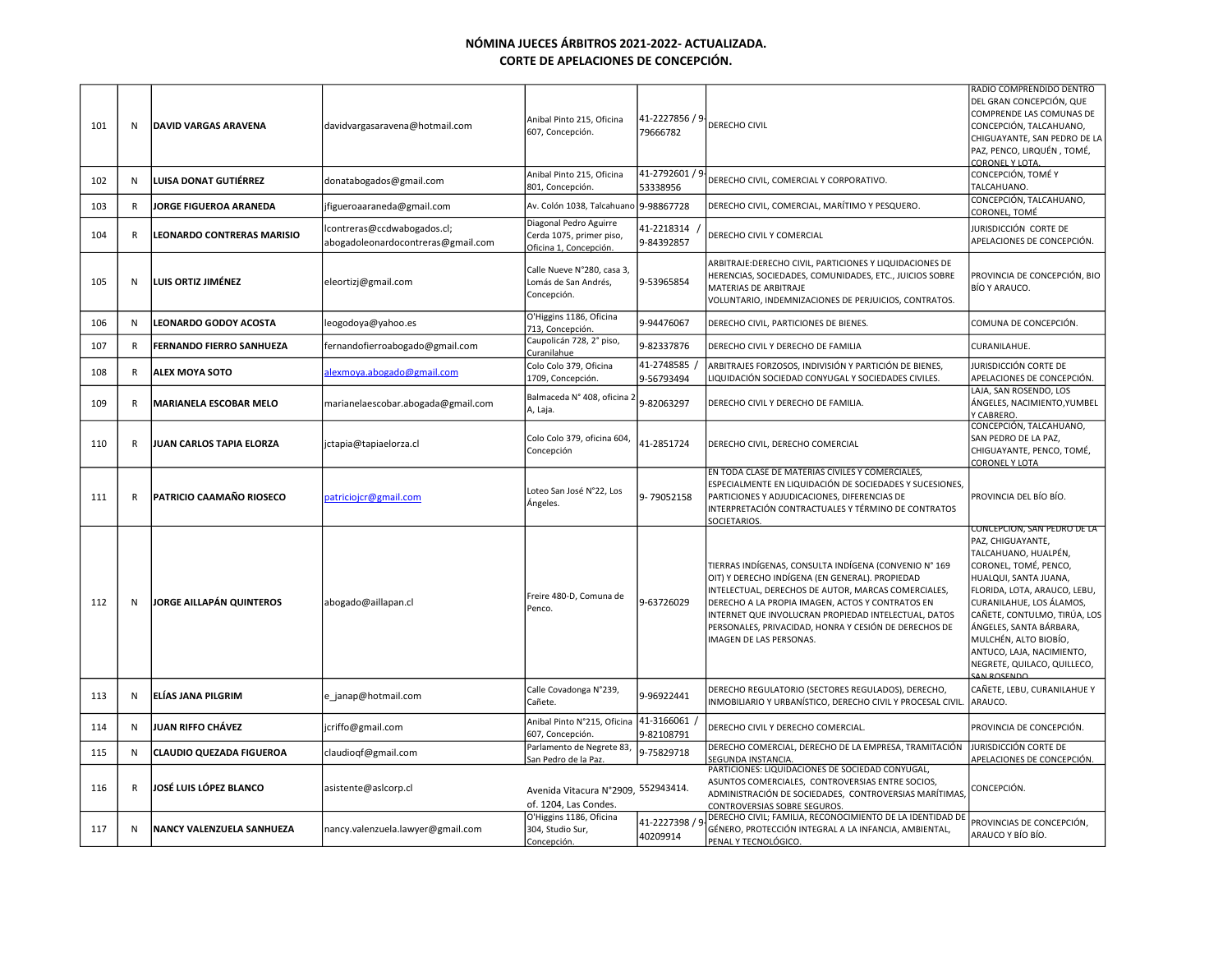| 101 | N            | <b>DAVID VARGAS ARAVENA</b>       | davidvargasaravena@hotmail.com                                    | Anibal Pinto 215, Oficina<br>607, Concepción.                                | 41-2227856 / 9<br>79666782 | DERECHO CIVIL                                                                                                                                                                                                                                                                                                                                                   | RADIO COMPRENDIDO DENTRO<br>DEL GRAN CONCEPCIÓN, QUE<br>COMPRENDE LAS COMUNAS DE<br>CONCEPCIÓN, TALCAHUANO,<br>CHIGUAYANTE, SAN PEDRO DE LA<br>PAZ, PENCO, LIRQUÉN, TOMÉ,<br><b>CORONEL Y LOTA</b>                                                                                                                                                   |
|-----|--------------|-----------------------------------|-------------------------------------------------------------------|------------------------------------------------------------------------------|----------------------------|-----------------------------------------------------------------------------------------------------------------------------------------------------------------------------------------------------------------------------------------------------------------------------------------------------------------------------------------------------------------|------------------------------------------------------------------------------------------------------------------------------------------------------------------------------------------------------------------------------------------------------------------------------------------------------------------------------------------------------|
| 102 | N            | <b>LUISA DONAT GUTIÉRREZ</b>      | donatabogados@gmail.com                                           | Anibal Pinto 215, Oficina<br>801, Concepción.                                | 41-2792601 / 9<br>53338956 | DERECHO CIVIL, COMERCIAL Y CORPORATIVO.                                                                                                                                                                                                                                                                                                                         | CONCEPCIÓN, TOMÉ Y<br>TALCAHUANO.                                                                                                                                                                                                                                                                                                                    |
| 103 | $\mathsf{R}$ | <b>JORGE FIGUEROA ARANEDA</b>     | ifigueroaaraneda@gmail.com                                        | Av. Colón 1038, Talcahuano                                                   | 9-98867728                 | DERECHO CIVIL, COMERCIAL, MARÍTIMO Y PESQUERO.                                                                                                                                                                                                                                                                                                                  | CONCEPCIÓN, TALCAHUANO,<br>CORONEL, TOMÉ                                                                                                                                                                                                                                                                                                             |
| 104 | $\mathsf{R}$ | <b>LEONARDO CONTRERAS MARISIO</b> | lcontreras@ccdwabogados.cl;<br>abogadoleonardocontreras@gmail.com | Diagonal Pedro Aguirre<br>Cerda 1075, primer piso,<br>Oficina 1, Concepción. | 41-2218314<br>9-84392857   | DERECHO CIVIL Y COMERCIAL                                                                                                                                                                                                                                                                                                                                       | JURISDICCIÓN CORTE DE<br>APELACIONES DE CONCEPCIÓN.                                                                                                                                                                                                                                                                                                  |
| 105 | ${\sf N}$    | LUIS ORTIZ JIMÉNEZ                | eleortizj@gmail.com                                               | Calle Nueve N°280, casa 3,<br>Lomás de San Andrés,<br>Concepción.            | 9-53965854                 | ARBITRAJE:DERECHO CIVIL, PARTICIONES Y LIQUIDACIONES DE<br>HERENCIAS, SOCIEDADES, COMUNIDADES, ETC., JUICIOS SOBRE<br>MATERIAS DE ARBITRAJE<br>VOLUNTARIO, INDEMNIZACIONES DE PERJUICIOS, CONTRATOS.                                                                                                                                                            | PROVINCIA DE CONCEPCIÓN, BIO<br>BÍO Y ARAUCO.                                                                                                                                                                                                                                                                                                        |
| 106 | N            | <b>LEONARDO GODOY ACOSTA</b>      | leogodoya@yahoo.es                                                | O'Higgins 1186, Oficina<br>713, Concepción.                                  | 9-94476067                 | DERECHO CIVIL, PARTICIONES DE BIENES.                                                                                                                                                                                                                                                                                                                           | COMUNA DE CONCEPCIÓN.                                                                                                                                                                                                                                                                                                                                |
| 107 | $\mathsf{R}$ | FERNANDO FIERRO SANHUEZA          | fernandofierroabogado@gmail.com                                   | Caupolicán 728, 2° piso,<br>Curanilahue                                      | 9-82337876                 | DERECHO CIVIL Y DERECHO DE FAMILIA                                                                                                                                                                                                                                                                                                                              | CURANILAHUE.                                                                                                                                                                                                                                                                                                                                         |
| 108 | R            | <b>ALEX MOYA SOTO</b>             | alexmoya.abogado@gmail.com                                        | Colo Colo 379, Oficina<br>1709, Concepción.                                  | 41-2748585<br>9-56793494   | ARBITRAJES FORZOSOS, INDIVISIÓN Y PARTICIÓN DE BIENES,<br>LIQUIDACIÓN SOCIEDAD CONYUGAL Y SOCIEDADES CIVILES.                                                                                                                                                                                                                                                   | JURISDICCIÓN CORTE DE<br>APELACIONES DE CONCEPCIÓN.                                                                                                                                                                                                                                                                                                  |
| 109 | $\mathsf{R}$ | <b>MARIANELA ESCOBAR MELO</b>     | marianelaescobar.abogada@gmail.com                                | Balmaceda Nº 408, oficina 2<br>A, Laja.                                      | 9-82063297                 | DERECHO CIVIL Y DERECHO DE FAMILIA.                                                                                                                                                                                                                                                                                                                             | LAJA, SAN ROSENDO, LOS<br>ÁNGELES, NACIMIENTO, YUMBEL<br><b>CABRERO</b>                                                                                                                                                                                                                                                                              |
| 110 | $\mathsf{R}$ | JUAN CARLOS TAPIA ELORZA          | jctapia@tapiaelorza.cl                                            | Colo Colo 379, oficina 604,<br>Concepción                                    | 41-2851724                 | DERECHO CIVIL, DERECHO COMERCIAL                                                                                                                                                                                                                                                                                                                                | CONCEPCIÓN, TALCAHUANO,<br>SAN PEDRO DE LA PAZ,<br>CHIGUAYANTE, PENCO, TOMÉ,<br><b>CORONEL Y LOTA</b>                                                                                                                                                                                                                                                |
| 111 | $\mathsf{R}$ | PATRICIO CAAMAÑO RIOSECO          | patriciojcr@gmail.com                                             | Loteo San José N°22, Los<br>Ángeles.                                         | 9-79052158                 | EN TODA CLASE DE MATERIAS CIVILES Y COMERCIALES,<br>ESPECIALMENTE EN LIQUIDACIÓN DE SOCIEDADES Y SUCESIONES,<br>PARTICIONES Y ADJUDICACIONES, DIFERENCIAS DE<br>INTERPRETACIÓN CONTRACTUALES Y TÉRMINO DE CONTRATOS<br>SOCIETARIOS                                                                                                                              | PROVINCIA DEL BÍO BÍO.                                                                                                                                                                                                                                                                                                                               |
| 112 | N            | <b>JORGE AILLAPÁN QUINTEROS</b>   | abogado@aillapan.cl                                               | Freire 480-D, Comuna de<br>Penco.                                            | 9-63726029                 | TIERRAS INDÍGENAS, CONSULTA INDÍGENA (CONVENIO Nº 169<br>OIT) Y DERECHO INDÍGENA (EN GENERAL). PROPIEDAD<br>INTELECTUAL, DERECHOS DE AUTOR, MARCAS COMERCIALES,<br>DERECHO A LA PROPIA IMAGEN, ACTOS Y CONTRATOS EN<br>INTERNET QUE INVOLUCRAN PROPIEDAD INTELECTUAL, DATOS<br>PERSONALES, PRIVACIDAD, HONRA Y CESIÓN DE DERECHOS DE<br>IMAGEN DE LAS PERSONAS. | CONCEPCION, SAN PEDRO DE LA<br>PAZ, CHIGUAYANTE,<br>TALCAHUANO, HUALPÉN,<br>CORONEL, TOMÉ, PENCO,<br>HUALQUI, SANTA JUANA,<br>FLORIDA, LOTA, ARAUCO, LEBU,<br>CURANILAHUE, LOS ÁLAMOS,<br>CAÑETE, CONTULMO, TIRÚA, LOS<br>ÁNGELES, SANTA BÁRBARA,<br>MULCHÉN, ALTO BIOBÍO,<br>ANTUCO, LAJA, NACIMIENTO,<br>NEGRETE, QUILACO, QUILLECO,<br>AN ROSENDO |
| 113 | N            | ELÍAS JANA PILGRIM                | e janap@hotmail.com                                               | Calle Covadonga N°239,<br>Cañete.                                            | 9-96922441                 | DERECHO REGULATORIO (SECTORES REGULADOS), DERECHO,<br>INMOBILIARIO Y URBANÍSTICO, DERECHO CIVIL Y PROCESAL CIVIL.                                                                                                                                                                                                                                               | CAÑETE, LEBU, CURANILAHUE Y<br>ARAUCO.                                                                                                                                                                                                                                                                                                               |
| 114 | N            | <b>JUAN RIFFO CHÁVEZ</b>          | jcriffo@gmail.com                                                 | Anibal Pinto N°215, Oficina<br>607, Concepción.                              | 41-3166061<br>9-82108791   | DERECHO CIVIL Y DERECHO COMERCIAL.                                                                                                                                                                                                                                                                                                                              | PROVINCIA DE CONCEPCIÓN.                                                                                                                                                                                                                                                                                                                             |
| 115 | N            | <b>CLAUDIO QUEZADA FIGUEROA</b>   | claudioqf@gmail.com                                               | Parlamento de Negrete 83<br>San Pedro de la Paz.                             | 9-75829718                 | DERECHO COMERCIAL, DERECHO DE LA EMPRESA, TRAMITACIÓN<br>SEGUNDA INSTANCIA.                                                                                                                                                                                                                                                                                     | JURISDICCIÓN CORTE DE<br>APELACIONES DE CONCEPCIÓN.                                                                                                                                                                                                                                                                                                  |
| 116 | R            | JOSÉ LUIS LÓPEZ BLANCO            | asistente@aslcorp.cl                                              | Avenida Vitacura N°2909, 552943414.<br>of. 1204, Las Condes.                 |                            | PARTICIONES: LIQUIDACIONES DE SOCIEDAD CONYUGAL,<br>ASUNTOS COMERCIALES, CONTROVERSIAS ENTRE SOCIOS,<br>ADMINISTRACIÓN DE SOCIEDADES, CONTROVERSIAS MARÍTIMAS,<br>CONTROVERSIAS SOBRE SEGUROS.                                                                                                                                                                  | CONCEPCIÓN.                                                                                                                                                                                                                                                                                                                                          |
| 117 | N            | NANCY VALENZUELA SANHUEZA         | nancy.valenzuela.lawyer@gmail.com                                 | O'Higgins 1186, Oficina<br>304, Studio Sur,<br>Concepción.                   | 41-2227398 / 9<br>40209914 | DERECHO CIVIL; FAMILIA, RECONOCIMIENTO DE LA IDENTIDAD DE<br>GÉNERO, PROTECCIÓN INTEGRAL A LA INFANCIA, AMBIENTAL,<br>PENAL Y TECNOLÓGICO.                                                                                                                                                                                                                      | PROVINCIAS DE CONCEPCIÓN,<br>ARAUCO Y BÍO BÍO.                                                                                                                                                                                                                                                                                                       |